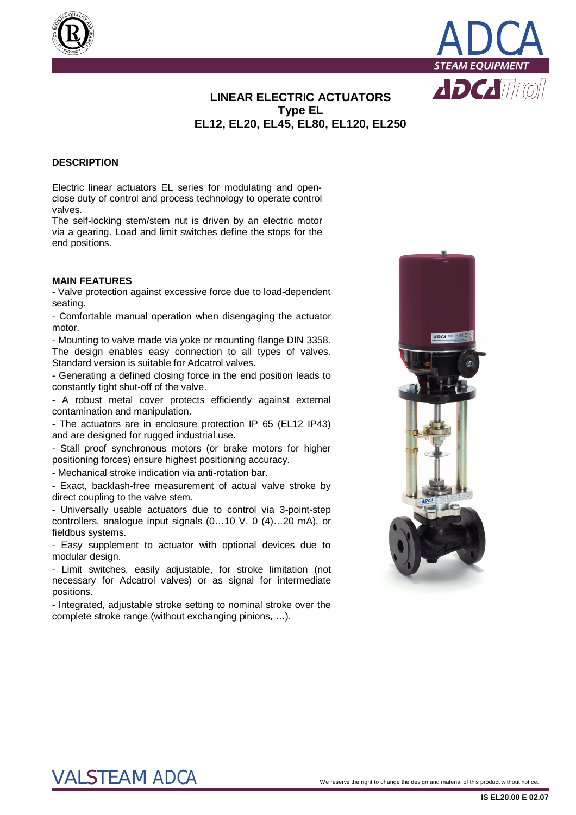



## **LINEAR ELECTRIC ACTUATORS Type EL EL12, EL20, EL45, EL80, EL120, EL250**

#### **DESCRIPTION**

Electric linear actuators EL series for modulating and openclose duty of control and process technology to operate control valves.

The self-locking stem/stem nut is driven by an electric motor via a gearing. Load and limit switches define the stops for the end positions.

#### **MAIN FEATURES**

- Valve protection against excessive force due to load-dependent seating.

- Comfortable manual operation when disengaging the actuator motor.

- Mounting to valve made via yoke or mounting flange DIN 3358. The design enables easy connection to all types of valves. Standard version is suitable for Adcatrol valves.

- Generating a defined closing force in the end position leads to constantly tight shut-off of the valve.

- A robust metal cover protects efficiently against external contamination and manipulation.

- The actuators are in enclosure protection IP 65 (EL12 IP43) and are designed for rugged industrial use.

- Stall proof synchronous motors (or brake motors for higher positioning forces) ensure highest positioning accuracy.

- Mechanical stroke indication via anti-rotation bar.

- Exact, backlash-free measurement of actual valve stroke by direct coupling to the valve stem.

- Universally usable actuators due to control via 3-point-step controllers, analogue input signals (0…10 V, 0 (4)…20 mA), or fieldbus systems.

- Easy supplement to actuator with optional devices due to modular design.

- Limit switches, easily adjustable, for stroke limitation (not necessary for Adcatrol valves) or as signal for intermediate positions.

- Integrated, adjustable stroke setting to nominal stroke over the complete stroke range (without exchanging pinions, …).



# $\text{VALSTEAM}$   $\text{ADCA}$   $^\circ$  . We reserve the right to change the design and material of this product without notice.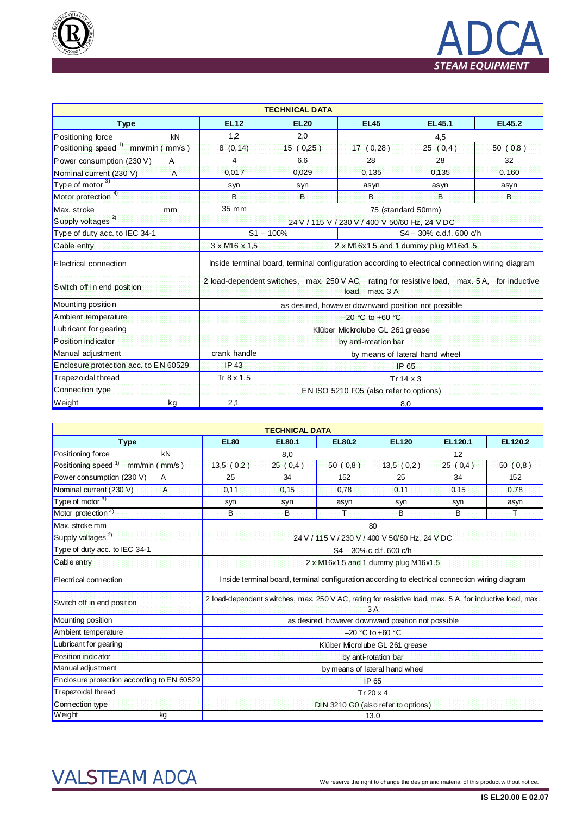



|                                                  |                   | <b>TECHNICAL DATA</b> |                                                                                                                |                            |               |  |  |
|--------------------------------------------------|-------------------|-----------------------|----------------------------------------------------------------------------------------------------------------|----------------------------|---------------|--|--|
| <b>Type</b>                                      | <b>EL12</b>       | <b>EL20</b>           | <b>EL45</b>                                                                                                    | EL45.1                     | <b>EL45.2</b> |  |  |
| Positioning force<br>kN                          | 1,2               | 2,0                   | 4,5                                                                                                            |                            |               |  |  |
| Positioning speed <sup>1)</sup><br>mm/min (mm/s) | 8(0, 14)          | 15(0,25)              | 17(0,28)                                                                                                       | 25(0,4)                    | 50(0,8)       |  |  |
| Power consumption (230 V)<br>A                   | 4                 | 6,6                   | 28                                                                                                             | 28                         | 32            |  |  |
| Nominal current (230 V)<br>$\overline{A}$        | 0,017             | 0.029                 | 0,135                                                                                                          | 0,135                      | 0.160         |  |  |
| Type of motor $\frac{3}{3}$                      | syn               | syn                   | asyn                                                                                                           | asyn                       | asyn          |  |  |
| Motor protection <sup>4)</sup>                   | B                 | B                     | B                                                                                                              | B                          | B             |  |  |
| Max. stroke<br>mm                                | 35 mm             |                       | 75 (standard 50mm)                                                                                             |                            |               |  |  |
| Supply voltages <sup>2)</sup>                    |                   |                       | 24 V / 115 V / 230 V / 400 V 50/60 Hz, 24 V DC                                                                 |                            |               |  |  |
| Type of duty acc. to IEC 34-1                    | $S1 - 100%$       |                       |                                                                                                                | $S4 - 30\%$ c.d.f. 600 c/h |               |  |  |
| Cable entry                                      | 3 x M16 x 1,5     |                       | 2 x M16x1.5 and 1 dummy plug M16x1.5                                                                           |                            |               |  |  |
| <b>E</b> lectrical connection                    |                   |                       | Inside terminal board, terminal configuration according to electrical connection wiring diagram                |                            |               |  |  |
| S witch off in end position                      |                   |                       | 2 load-dependent switches, max. 250 V AC, rating for resistive load, max. 5 A, for inductive<br>load, max. 3 A |                            |               |  |  |
| Mounting position                                |                   |                       | as desired, however downward position not possible                                                             |                            |               |  |  |
| A mbient temperature                             |                   |                       | $-20$ °C to +60 °C                                                                                             |                            |               |  |  |
| Lub ricant for gearing                           |                   |                       | Klüber Mickrolube GL 261 grease                                                                                |                            |               |  |  |
| P osition indicator                              |                   |                       | by anti-rotation bar                                                                                           |                            |               |  |  |
| Manual adjustment                                | crank handle      |                       | by means of lateral hand wheel                                                                                 |                            |               |  |  |
| Endosure protection acc. to EN 60529             | IP 43             |                       | <b>IP 65</b>                                                                                                   |                            |               |  |  |
| Trapezoidal thread                               | Tr $8 \times 1,5$ |                       | $Tr 14 \times 3$                                                                                               |                            |               |  |  |
| Connection type                                  |                   |                       | EN ISO 5210 F05 (also refer to options)                                                                        |                            |               |  |  |
| Weight<br>kg                                     | 2,1               |                       | 8,0                                                                                                            |                            |               |  |  |

|                                                        |                                                | <b>TECHNICAL DATA</b> |               |                                                                                                               |         |         |  |  |
|--------------------------------------------------------|------------------------------------------------|-----------------------|---------------|---------------------------------------------------------------------------------------------------------------|---------|---------|--|--|
| <b>Type</b>                                            | <b>EL80</b>                                    | EL80.1                | <b>EL80.2</b> | <b>EL120</b>                                                                                                  | EL120.1 | EL120.2 |  |  |
| Positioning force<br>kN                                |                                                | 8,0                   |               | 12                                                                                                            |         |         |  |  |
| Positioning speed <sup>1)</sup><br>$mm/min$ ( $mm/s$ ) | 13,5(0,2)                                      | 25(0,4)               | 50(0,8)       | 13,5(0,2)                                                                                                     | 25(0,4) | 50(0,8) |  |  |
| Power consumption (230 V)<br>A                         | 25                                             | 34                    | 152           | 25                                                                                                            | 34      | 152     |  |  |
| Nominal current (230 V)<br>$\overline{A}$              | 0,11                                           | 0,15                  | 0,78          | 0.11                                                                                                          | 0.15    | 0.78    |  |  |
| Type of motor 3)                                       | syn                                            | syn                   | asyn          | syn                                                                                                           | syn     | asyn    |  |  |
| Motor protection <sup>4)</sup>                         | B                                              | B                     | Ŧ             | B                                                                                                             | B       | Ŧ.      |  |  |
| Max. stroke mm                                         |                                                |                       |               | 80                                                                                                            |         |         |  |  |
| Supply voltages <sup>2)</sup>                          | 24 V / 115 V / 230 V / 400 V 50/60 Hz, 24 V DC |                       |               |                                                                                                               |         |         |  |  |
| Type of duty acc. to IEC 34-1                          |                                                |                       |               | S4 - 30% c.d.f. 600 c/h                                                                                       |         |         |  |  |
| Cable entry                                            |                                                |                       |               | $2 \times M16x1.5$ and 1 dummy plug M16x1.5                                                                   |         |         |  |  |
| Electrical connection                                  |                                                |                       |               | Inside terminal board, terminal configuration according to electrical connection wiring diagram               |         |         |  |  |
| Switch off in end position                             |                                                |                       |               | 2 load-dependent switches, max. 250 V AC, rating for resistive load, max. 5 A, for inductive load, max.<br>3A |         |         |  |  |
| Mounting position                                      |                                                |                       |               | as desired, however downward position not possible                                                            |         |         |  |  |
| Ambient temperature                                    |                                                |                       |               | $-20$ °C to +60 °C                                                                                            |         |         |  |  |
| Lubricant for gearing                                  |                                                |                       |               | Klüber Microlube GL 261 grease                                                                                |         |         |  |  |
| Position indicator                                     |                                                |                       |               | by anti-rotation bar                                                                                          |         |         |  |  |
| Manual adjustment                                      | by means of lateral hand wheel                 |                       |               |                                                                                                               |         |         |  |  |
| Enclosure protection according to EN 60529             | IP 65                                          |                       |               |                                                                                                               |         |         |  |  |
| Trapezoidal thread                                     | Tr $20 \times 4$                               |                       |               |                                                                                                               |         |         |  |  |
| Connection type                                        |                                                |                       |               | DIN 3210 G0 (also refer to options)                                                                           |         |         |  |  |
| Weight<br>kg                                           |                                                |                       |               | 13,0                                                                                                          |         |         |  |  |

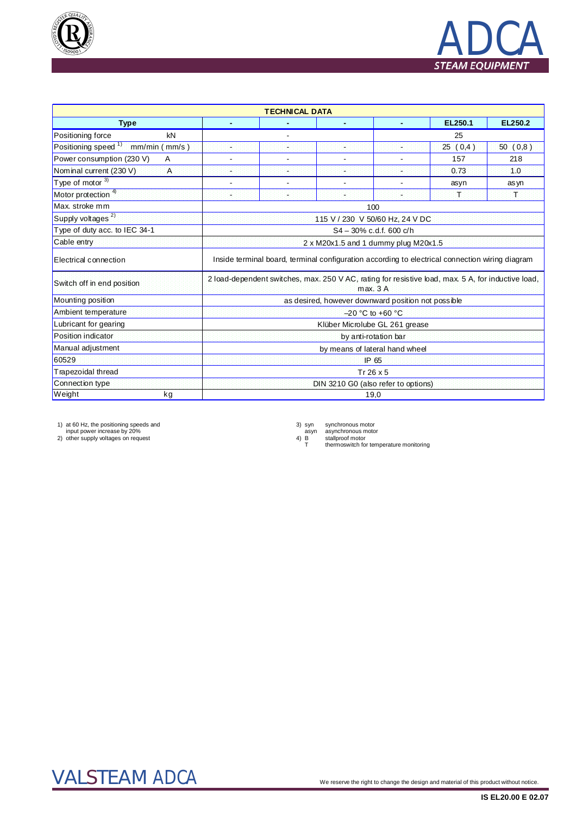



|                                                  | <b>TECHNICAL DATA</b>                                                                                         |                  |                |                                     |         |         |  |  |  |  |  |
|--------------------------------------------------|---------------------------------------------------------------------------------------------------------------|------------------|----------------|-------------------------------------|---------|---------|--|--|--|--|--|
| <b>Type</b>                                      | $\blacksquare$                                                                                                |                  | $\blacksquare$ |                                     | EL250.1 | EL250.2 |  |  |  |  |  |
| Positioning force<br>kN                          |                                                                                                               |                  |                | 25                                  |         |         |  |  |  |  |  |
| Positioning speed <sup>1)</sup><br>mm/min (mm/s) | s.                                                                                                            | ٠                | ¥.             | a.                                  | 25(0,4) | 50(0,8) |  |  |  |  |  |
| Power consumption (230 V)<br>A                   |                                                                                                               |                  |                |                                     | 157     | 218     |  |  |  |  |  |
| Nominal current (230 V)<br>$\overline{A}$        | н                                                                                                             |                  | u,             | ÷                                   | 0.73    | 1.0     |  |  |  |  |  |
| Type of motor 3)                                 |                                                                                                               |                  |                |                                     | asyn    | as yn   |  |  |  |  |  |
| Motor protection 4)                              | ×                                                                                                             | ٠                | ×              |                                     | 工       | 軍       |  |  |  |  |  |
| Max. stroke mm                                   |                                                                                                               |                  |                | 100                                 |         |         |  |  |  |  |  |
| Supply voltages <sup>2)</sup>                    |                                                                                                               |                  |                | 115 V / 230 V 50/60 Hz, 24 V DC     |         |         |  |  |  |  |  |
| Type of duty acc. to IEC 34-1                    | S4-30% c.d.f. 600 c/h                                                                                         |                  |                |                                     |         |         |  |  |  |  |  |
| Cable entry                                      | $2 \times M20x1.5$ and 1 dummy plug M20x1.5                                                                   |                  |                |                                     |         |         |  |  |  |  |  |
| Electrical connection                            | Inside terminal board, terminal configuration according to electrical connection wiring diagram               |                  |                |                                     |         |         |  |  |  |  |  |
| Switch off in end position                       | 2 load-dependent switches, max. 250 V AC, rating for resistive load, max. 5 A, for inductive load,<br>max. 3A |                  |                |                                     |         |         |  |  |  |  |  |
| Mounting position                                | as desired, however downward position not possible                                                            |                  |                |                                     |         |         |  |  |  |  |  |
| Ambient temperature                              | $-20$ °C to +60 °C                                                                                            |                  |                |                                     |         |         |  |  |  |  |  |
| Lubricant for gearing                            |                                                                                                               |                  |                | Klüber Microlube GL 261 grease      |         |         |  |  |  |  |  |
| Position indicator                               |                                                                                                               |                  |                | by anti-rotation bar                |         |         |  |  |  |  |  |
| Manual adjustment                                |                                                                                                               |                  |                | by means of lateral hand wheel      |         |         |  |  |  |  |  |
| 60529                                            | IP 65                                                                                                         |                  |                |                                     |         |         |  |  |  |  |  |
| Trapezoidal thread                               |                                                                                                               | Tr $26 \times 5$ |                |                                     |         |         |  |  |  |  |  |
| Connection type                                  |                                                                                                               |                  |                | DIN 3210 G0 (also refer to options) |         |         |  |  |  |  |  |
| Weight<br>kg                                     | 19,0                                                                                                          |                  |                |                                     |         |         |  |  |  |  |  |

1) at 60 Hz, the positioning speeds and input power increase by 20% 2) other supply voltages on request

3) syn synchronous motor<br>asyn asynchronous motor<br>4) B stallproof motor<br>T thermoswitch for temperature monitoring

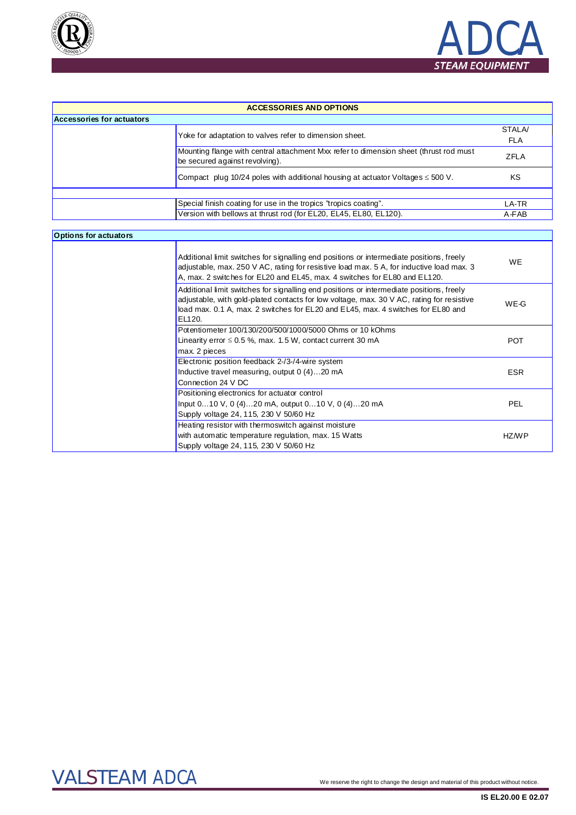



| <b>ACCESSORIES AND OPTIONS</b> |                                                                                                                         |             |  |  |  |  |  |
|--------------------------------|-------------------------------------------------------------------------------------------------------------------------|-------------|--|--|--|--|--|
| Accessories for actuators      |                                                                                                                         |             |  |  |  |  |  |
|                                | Yoke for adaptation to valves refer to dimension sheet.                                                                 | STALA/      |  |  |  |  |  |
|                                |                                                                                                                         | FLA         |  |  |  |  |  |
|                                | Mounting flange with central attachment Mxx refer to dimension sheet (thrust rod must<br>be secured against revolving). | <b>ZFLA</b> |  |  |  |  |  |
|                                | Compact plug 10/24 poles with additional housing at actuator Voltages $\leq$ 500 V.                                     | ΚS          |  |  |  |  |  |
|                                |                                                                                                                         |             |  |  |  |  |  |
|                                | Special finish coating for use in the tropics "tropics coating".                                                        | LA-TR       |  |  |  |  |  |
|                                | Version with bellows at thrust rod (for EL20, EL45, EL80, EL120).                                                       | A-FAB       |  |  |  |  |  |

## **Options for actuators**

| Additional limit switches for signalling end positions or intermediate positions, freely<br>adjustable, max. 250 V AC, rating for resistive load max. 5 A, for inductive load max. 3<br>A, max. 2 switches for EL20 and EL45, max. 4 switches for EL80 and EL120.                   | WE.        |
|-------------------------------------------------------------------------------------------------------------------------------------------------------------------------------------------------------------------------------------------------------------------------------------|------------|
| Additional limit switches for signalling end positions or intermediate positions, freely<br>adjustable, with gold-plated contacts for low voltage, max. 30 V AC, rating for resistive<br>load max. 0.1 A, max. 2 switches for EL20 and EL45, max. 4 switches for EL80 and<br>EL120. | WE-G       |
| Potentiometer 100/130/200/500/1000/5000 Ohms or 10 kOhms                                                                                                                                                                                                                            |            |
| Linearity error $\leq 0.5$ %, max. 1.5 W, contact current 30 mA                                                                                                                                                                                                                     | <b>POT</b> |
| max. 2 pieces                                                                                                                                                                                                                                                                       |            |
| Electronic position feedback 2-/3-/4-wire system                                                                                                                                                                                                                                    |            |
| Inductive travel measuring, output 0 (4)20 mA                                                                                                                                                                                                                                       | <b>ESR</b> |
| Connection 24 V DC                                                                                                                                                                                                                                                                  |            |
| Positioning electronics for actuator control                                                                                                                                                                                                                                        |            |
| lnput 010 V, 0 (4)20 mA, output 010 V, 0 (4)20 mA                                                                                                                                                                                                                                   | <b>PEL</b> |
| Supply voltage 24, 115, 230 V 50/60 Hz                                                                                                                                                                                                                                              |            |
| Heating resistor with thermoswitch against moisture                                                                                                                                                                                                                                 |            |
| with automatic temperature regulation, max. 15 Watts                                                                                                                                                                                                                                | HZ/WP      |
| Supply voltage 24, 115, 230 V 50/60 Hz                                                                                                                                                                                                                                              |            |

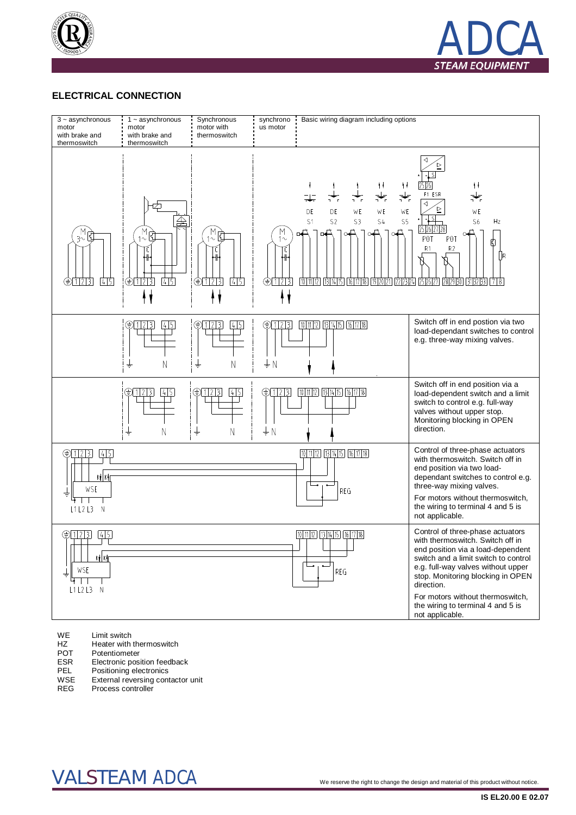



### **ELECTRICAL CONNECTION**



WE Limit switch<br>HZ Heater with

- HZ Heater with thermoswitch<br>
POT Potentiometer
- POT Potentiometer<br>ESR Electronic pos

ESR Electronic position feedback<br>
PEL Positioning electronics

PEL Positioning electronics<br>WSE External reversing cont

External reversing contactor unit

REG Process controller

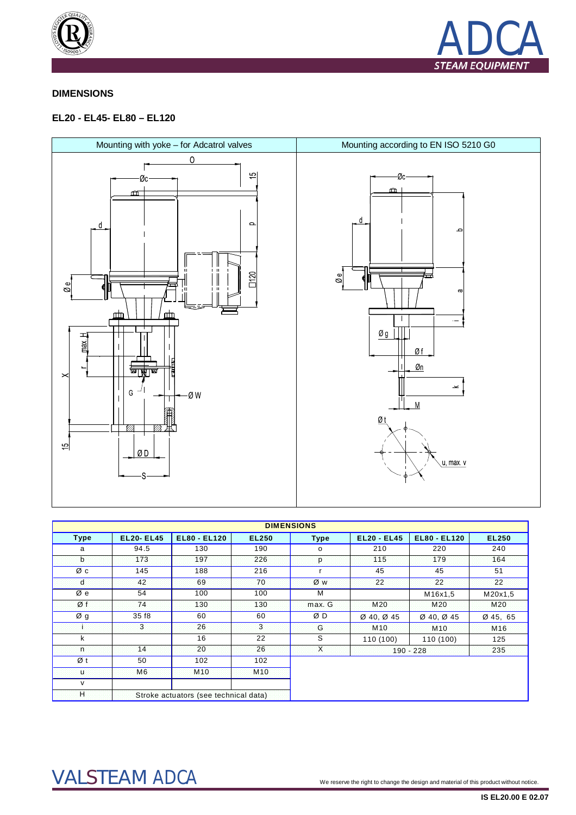



### **DIMENSIONS**

### EL20 - EL45- EL80 - EL120



|              |                  |                                       |                 | <b>DIMENSIONS</b> |                    |                                    |                 |
|--------------|------------------|---------------------------------------|-----------------|-------------------|--------------------|------------------------------------|-----------------|
| <b>Type</b>  | <b>EL20-EL45</b> | <b>EL80 - EL120</b>                   | <b>EL250</b>    | <b>Type</b>       | <b>EL20 - EL45</b> | <b>EL80 - EL120</b>                | <b>EL250</b>    |
| a            | 94.5             | 130                                   | 190             | $\circ$           | 210                | 220                                | 240             |
| b            | 173              | 197                                   | 226             | p                 | 115                | 179                                | 164             |
| Øс           | 145              | 188                                   | 216             |                   | 45                 | 45                                 | 51              |
| d            | 42               | 69                                    | 70              | ØW                | 22                 | 22                                 | 22              |
| Ø e          | 54               | 100                                   | 100             | м                 |                    | M16x1,5                            | M20x1,5         |
| Øf           | 74               | 130                                   | 130             | max. G            | M20                | M <sub>20</sub>                    | <b>M20</b>      |
| Øg           | 35 f8            | 60                                    | 60              | ØΒ                | $Ø$ 40, $Ø$ 45     | $\varnothing$ 40, $\varnothing$ 45 | Ø 45, 65        |
|              | $\overline{3}$   | 26                                    | $\overline{3}$  | G                 | M <sub>10</sub>    | M <sub>10</sub>                    | M <sub>16</sub> |
| k            |                  | 16                                    | 22              | S                 | 110 (100)          | 110 (100)                          | 125             |
| 'n           | 14               | 20                                    | 26              | $\mathsf{X}$      |                    | $190 - 228$                        | 235             |
| Øt           | 50               | 102                                   | 102             |                   |                    |                                    |                 |
| U.           | M6               | M <sub>10</sub>                       | M <sub>10</sub> |                   |                    |                                    |                 |
| $\mathsf{v}$ |                  |                                       |                 |                   |                    |                                    |                 |
| Ή            |                  | Stroke actuators (see technical data) |                 |                   |                    |                                    |                 |

# **VALSTEAM ADCA**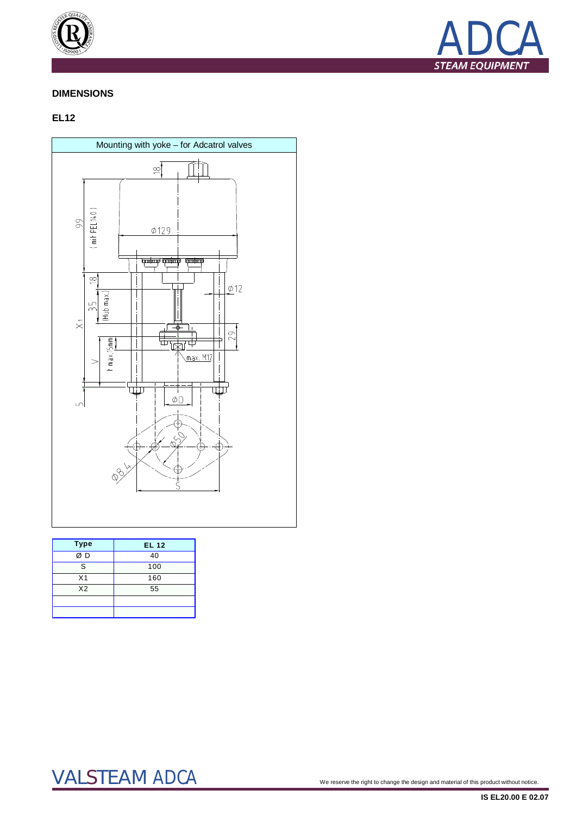



### **DIMENSIONS**

### **EL12**



| <b>Type</b>             | <b>EL 12</b> |  |  |  |  |  |  |
|-------------------------|--------------|--|--|--|--|--|--|
| $\frac{1}{\emptyset}$ D | 40           |  |  |  |  |  |  |
| S                       | 100          |  |  |  |  |  |  |
| X <sub>1</sub>          | 160          |  |  |  |  |  |  |
| X <sub>2</sub>          | 55           |  |  |  |  |  |  |
|                         |              |  |  |  |  |  |  |

# VALSTEAM ADCA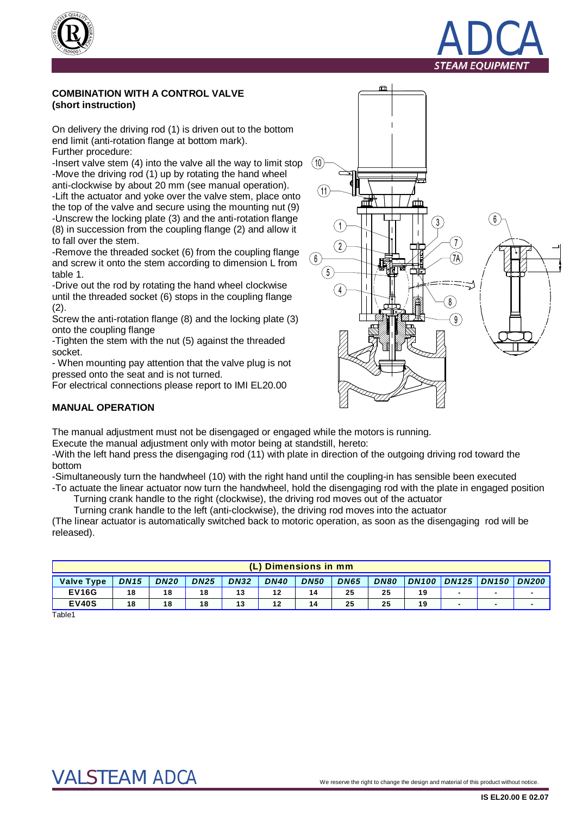



#### **COMBINATION WITH A CONTROL VALVE (short instruction)**

On delivery the driving rod (1) is driven out to the bottom end limit (anti-rotation flange at bottom mark). Further procedure:

-Insert valve stem (4) into the valve all the way to limit stop -Move the driving rod (1) up by rotating the hand wheel anti-clockwise by about 20 mm (see manual operation). -Lift the actuator and yoke over the valve stem, place onto the top of the valve and secure using the mounting nut (9) -Unscrew the locking plate (3) and the anti-rotation flange (8) in succession from the coupling flange (2) and allow it to fall over the stem.

-Remove the threaded socket (6) from the coupling flange and screw it onto the stem according to dimension L from table 1.

-Drive out the rod by rotating the hand wheel clockwise until the threaded socket (6) stops in the coupling flange (2).

Screw the anti-rotation flange (8) and the locking plate (3) onto the coupling flange

-Tighten the stem with the nut (5) against the threaded socket.

- When mounting pay attention that the valve plug is not pressed onto the seat and is not turned.

For electrical connections please report to IMI EL20.00



### **MANUAL OPERATION**

The manual adjustment must not be disengaged or engaged while the motors is running.

Execute the manual adjustment only with motor being at standstill, hereto:

-With the left hand press the disengaging rod (11) with plate in direction of the outgoing driving rod toward the bottom

-Simultaneously turn the handwheel (10) with the right hand until the coupling-in has sensible been executed -To actuate the linear actuator now turn the handwheel, hold the disengaging rod with the plate in engaged position

Turning crank handle to the right (clockwise), the driving rod moves out of the actuator

Turning crank handle to the left (anti-clockwise), the driving rod moves into the actuator

(The linear actuator is automatically switched back to motoric operation, as soon as the disengaging rod will be released).

|                   | (L) Dimensions in mm |             |             |             |             |             |             |             |              |              |                          |              |
|-------------------|----------------------|-------------|-------------|-------------|-------------|-------------|-------------|-------------|--------------|--------------|--------------------------|--------------|
| <b>Valve Type</b> | <b>DN15</b>          | <b>DN20</b> | <b>DN25</b> | <b>DN32</b> | <b>DN40</b> | <b>DN50</b> | <b>DN65</b> | <b>DN80</b> | <b>DN100</b> | <b>DN125</b> | DDN150                   | <b>DN200</b> |
| <b>EV16G</b>      | 18                   | 18          | 18          | 13          | 12          | 14          | 25          | 25          | 19           |              | $\overline{\phantom{0}}$ |              |
| <b>EV40S</b>      | 18                   | 18          | 18          |             | 12          | 14          | 25          | 25          | 19           |              |                          |              |
| Table1            |                      |             |             |             |             |             |             |             |              |              |                          |              |

Table1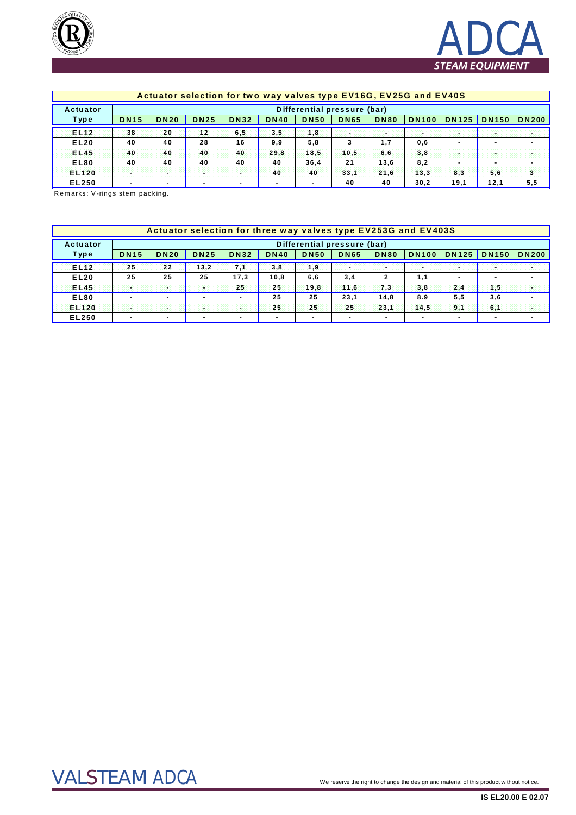



### Actuator selection for two way valves type EV16G, EV25G and EV40S

| Actuator         |             | Differential pressure (bar) |                          |                          |             |             |             |             |              |                          |                          |              |
|------------------|-------------|-----------------------------|--------------------------|--------------------------|-------------|-------------|-------------|-------------|--------------|--------------------------|--------------------------|--------------|
| Type             | <b>DN15</b> | <b>DN20</b>                 | <b>DN25</b>              | <b>DN32</b>              | <b>DN40</b> | <b>DN50</b> | <b>DN65</b> | <b>DN80</b> | <b>DN100</b> | <b>DN125</b>             | <b>DN150</b>             | <b>DN200</b> |
| EL <sub>12</sub> | 38          | 20                          | 12                       | 6,5                      | 3,5         | 1,8         |             | - 1         | a an         | ÷                        | ÷                        |              |
| <b>EL20</b>      | 40          | 40                          | 28                       | 16                       | 9,9         | 5,8         | 3           | 1,7         | 0,6          | $\overline{\phantom{0}}$ | $\overline{\phantom{a}}$ |              |
| <b>EL45</b>      | 40          | 40                          | 40                       | 40                       | 29.8        | 18.5        | 10.5        | 6,6         | 3,8          |                          |                          |              |
| <b>EL80</b>      | 40          | 40                          | 40                       | 40                       | 40          | 36,4        | 21          | 13,6        | 8,2          |                          | $\overline{\phantom{a}}$ |              |
| <b>EL120</b>     |             |                             |                          |                          | 40          | 40          | 33,1        | 21.6        | 13,3         | 8,3                      | 5,6                      | з            |
| EL250            |             | $\overline{\phantom{a}}$    | $\overline{\phantom{0}}$ | $\overline{\phantom{a}}$ |             |             | 40          | 40          | 30.2         | 19.1                     | 12.1                     | 5,5          |

Remarks: V-rings stem packing.

|              |             |                             |                          |                          |             |                |             |                          | Actuator selection for three way valves type EV253G and EV403S |                          |                          |              |
|--------------|-------------|-----------------------------|--------------------------|--------------------------|-------------|----------------|-------------|--------------------------|----------------------------------------------------------------|--------------------------|--------------------------|--------------|
| Actuator     |             | Differential pressure (bar) |                          |                          |             |                |             |                          |                                                                |                          |                          |              |
| Type         | <b>DN15</b> | <b>DN20</b>                 | <b>DN25</b>              | <b>DN32</b>              | <b>DN40</b> | <b>DN50</b>    | <b>DN65</b> | <b>DN80</b>              | <b>DN100</b>                                                   | <b>DN125</b>             | <b>DN150</b>             | <b>DN200</b> |
| <b>EL12</b>  | 25          | 22                          | 13.2                     | 73.                      | 3,8         | 1,9            | . .         | w.                       |                                                                | ۰.                       | ×                        |              |
| <b>EL20</b>  | 25          | 25                          | 25                       | 17.3                     | 10,8        | 6,6            | 3,4         |                          | 1.1                                                            |                          | $\overline{\phantom{0}}$ |              |
| <b>EL45</b>  | 99          | œ                           | ×.                       | 25                       | 25          | 19.8           | 11.6        | 7,3                      | 3,8                                                            | 2,4                      | 1.5                      | ×            |
| <b>EL80</b>  |             | $\overline{\phantom{a}}$    |                          | $\blacksquare$           | 25          | 25             | 23,1        | 14.8                     | 8.9                                                            | 5,5                      | 3,6                      |              |
| <b>EL120</b> | 20          | 99                          | ×.                       | 98                       | 25          | 25             | 25          | 23.1                     | 14,5                                                           | 9.1                      | 6.1                      |              |
| <b>EL250</b> |             | $\overline{\phantom{a}}$    | $\overline{\phantom{0}}$ | $\overline{\phantom{a}}$ |             | $\blacksquare$ |             | $\overline{\phantom{a}}$ |                                                                | $\overline{\phantom{a}}$ |                          |              |